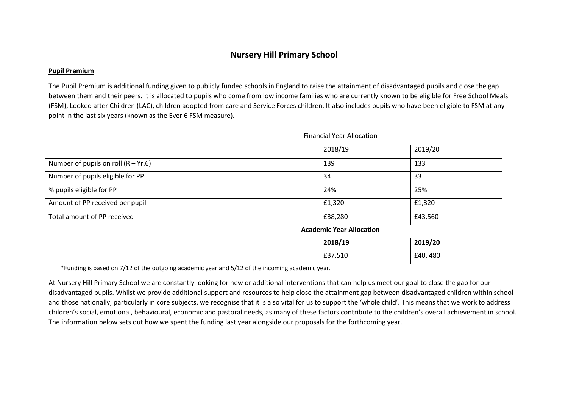## **Nursery Hill Primary School**

## **Pupil Premium**

The Pupil Premium is additional funding given to publicly funded schools in England to raise the attainment of disadvantaged pupils and close the gap between them and their peers. It is allocated to pupils who come from low income families who are currently known to be eligible for Free School Meals (FSM), Looked after Children (LAC), children adopted from care and Service Forces children. It also includes pupils who have been eligible to FSM at any point in the last six years (known as the Ever 6 FSM measure).

|                                       | <b>Financial Year Allocation</b> |         |         |  |  |
|---------------------------------------|----------------------------------|---------|---------|--|--|
|                                       |                                  | 2018/19 | 2019/20 |  |  |
| Number of pupils on roll $(R - Yr.6)$ |                                  | 139     | 133     |  |  |
| Number of pupils eligible for PP      |                                  | 34      | 33      |  |  |
| % pupils eligible for PP              |                                  | 24%     | 25%     |  |  |
| Amount of PP received per pupil       | £1,320<br>£1,320                 |         |         |  |  |
| Total amount of PP received           |                                  | £38,280 | £43,560 |  |  |
|                                       | <b>Academic Year Allocation</b>  |         |         |  |  |
|                                       |                                  | 2018/19 | 2019/20 |  |  |
|                                       |                                  | £37,510 | £40,480 |  |  |

\*Funding is based on 7/12 of the outgoing academic year and 5/12 of the incoming academic year.

At Nursery Hill Primary School we are constantly looking for new or additional interventions that can help us meet our goal to close the gap for our disadvantaged pupils. Whilst we provide additional support and resources to help close the attainment gap between disadvantaged children within school and those nationally, particularly in core subjects, we recognise that it is also vital for us to support the 'whole child'. This means that we work to address children's social, emotional, behavioural, economic and pastoral needs, as many of these factors contribute to the children's overall achievement in school. The information below sets out how we spent the funding last year alongside our proposals for the forthcoming year.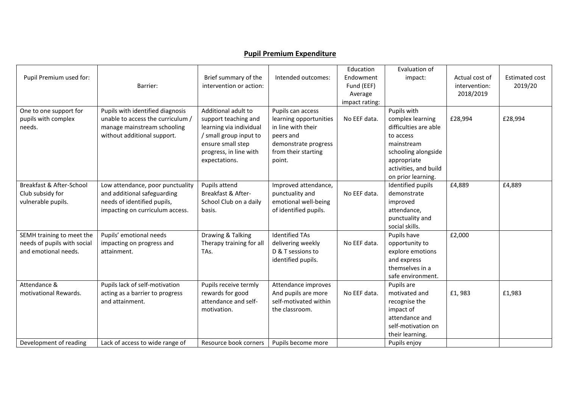## **Pupil Premium Expenditure**

|                             |                                   |                               |                        | Education      | Evaluation of                    |                |                       |
|-----------------------------|-----------------------------------|-------------------------------|------------------------|----------------|----------------------------------|----------------|-----------------------|
| Pupil Premium used for:     |                                   | Brief summary of the          | Intended outcomes:     | Endowment      | impact:                          | Actual cost of | <b>Estimated cost</b> |
|                             | Barrier:                          | intervention or action:       |                        | Fund (EEF)     |                                  | intervention:  | 2019/20               |
|                             |                                   |                               |                        | Average        |                                  | 2018/2019      |                       |
|                             |                                   |                               |                        | impact rating: |                                  |                |                       |
| One to one support for      | Pupils with identified diagnosis  | Additional adult to           | Pupils can access      |                | Pupils with                      |                |                       |
| pupils with complex         | unable to access the curriculum / | support teaching and          | learning opportunities | No EEF data.   | complex learning                 | £28,994        | £28,994               |
| needs.                      | manage mainstream schooling       | learning via individual       | in line with their     |                | difficulties are able            |                |                       |
|                             | without additional support.       | / small group input to        | peers and              |                | to access                        |                |                       |
|                             |                                   | ensure small step             | demonstrate progress   |                | mainstream                       |                |                       |
|                             |                                   | progress, in line with        | from their starting    |                | schooling alongside              |                |                       |
|                             |                                   | expectations.                 | point.                 |                | appropriate                      |                |                       |
|                             |                                   |                               |                        |                | activities, and build            |                |                       |
|                             |                                   |                               |                        |                | on prior learning.               |                |                       |
| Breakfast & After-School    |                                   | Pupils attend                 | Improved attendance,   |                |                                  |                |                       |
|                             | Low attendance, poor punctuality  | <b>Breakfast &amp; After-</b> |                        | No EEF data.   | Identified pupils<br>demonstrate | £4,889         | £4,889                |
| Club subsidy for            | and additional safeguarding       |                               | punctuality and        |                |                                  |                |                       |
| vulnerable pupils.          | needs of identified pupils,       | School Club on a daily        | emotional well-being   |                | improved                         |                |                       |
|                             | impacting on curriculum access.   | basis.                        | of identified pupils.  |                | attendance,                      |                |                       |
|                             |                                   |                               |                        |                | punctuality and                  |                |                       |
|                             |                                   |                               |                        |                | social skills.                   |                |                       |
| SEMH training to meet the   | Pupils' emotional needs           | Drawing & Talking             | <b>Identified TAs</b>  |                | Pupils have                      | £2,000         |                       |
| needs of pupils with social | impacting on progress and         | Therapy training for all      | delivering weekly      | No EEF data.   | opportunity to                   |                |                       |
| and emotional needs.        | attainment.                       | TAs.                          | D & T sessions to      |                | explore emotions                 |                |                       |
|                             |                                   |                               | identified pupils.     |                | and express                      |                |                       |
|                             |                                   |                               |                        |                | themselves in a                  |                |                       |
|                             |                                   |                               |                        |                | safe environment.                |                |                       |
| Attendance &                | Pupils lack of self-motivation    | Pupils receive termly         | Attendance improves    |                | Pupils are                       |                |                       |
| motivational Rewards.       | acting as a barrier to progress   | rewards for good              | And pupils are more    | No EEF data.   | motivated and                    | £1,983         | £1,983                |
|                             | and attainment.                   | attendance and self-          | self-motivated within  |                | recognise the                    |                |                       |
|                             |                                   | motivation.                   | the classroom.         |                | impact of                        |                |                       |
|                             |                                   |                               |                        |                | attendance and                   |                |                       |
|                             |                                   |                               |                        |                | self-motivation on               |                |                       |
|                             |                                   |                               |                        |                | their learning.                  |                |                       |
| Development of reading      | Lack of access to wide range of   | Resource book corners         | Pupils become more     |                | Pupils enjoy                     |                |                       |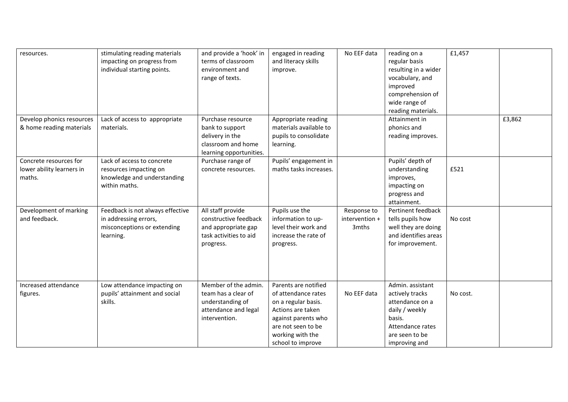| resources.                                                    | stimulating reading materials<br>impacting on progress from<br>individual starting points.            | and provide a 'hook' in<br>terms of classroom<br>environment and<br>range of texts.                      | engaged in reading<br>and literacy skills<br>improve.                                                                                                                         | No EEF data                            | reading on a<br>regular basis<br>resulting in a wider<br>vocabulary, and<br>improved<br>comprehension of<br>wide range of<br>reading materials. | £1,457   |        |
|---------------------------------------------------------------|-------------------------------------------------------------------------------------------------------|----------------------------------------------------------------------------------------------------------|-------------------------------------------------------------------------------------------------------------------------------------------------------------------------------|----------------------------------------|-------------------------------------------------------------------------------------------------------------------------------------------------|----------|--------|
| Develop phonics resources<br>& home reading materials         | Lack of access to appropriate<br>materials.                                                           | Purchase resource<br>bank to support<br>delivery in the<br>classroom and home<br>learning opportunities. | Appropriate reading<br>materials available to<br>pupils to consolidate<br>learning.                                                                                           |                                        | Attainment in<br>phonics and<br>reading improves.                                                                                               |          | £3,862 |
| Concrete resources for<br>lower ability learners in<br>maths. | Lack of access to concrete<br>resources impacting on<br>knowledge and understanding<br>within maths.  | Purchase range of<br>concrete resources.                                                                 | Pupils' engagement in<br>maths tasks increases.                                                                                                                               |                                        | Pupils' depth of<br>understanding<br>improves,<br>impacting on<br>progress and<br>attainment.                                                   | £521     |        |
| Development of marking<br>and feedback.                       | Feedback is not always effective<br>in addressing errors,<br>misconceptions or extending<br>learning. | All staff provide<br>constructive feedback<br>and appropriate gap<br>task activities to aid<br>progress. | Pupils use the<br>information to up-<br>level their work and<br>increase the rate of<br>progress.                                                                             | Response to<br>intervention +<br>3mths | Pertinent feedback<br>tells pupils how<br>well they are doing<br>and identifies areas<br>for improvement.                                       | No cost  |        |
| Increased attendance<br>figures.                              | Low attendance impacting on<br>pupils' attainment and social<br>skills.                               | Member of the admin.<br>team has a clear of<br>understanding of<br>attendance and legal<br>intervention. | Parents are notified<br>of attendance rates<br>on a regular basis.<br>Actions are taken<br>against parents who<br>are not seen to be<br>working with the<br>school to improve | No EEF data                            | Admin. assistant<br>actively tracks<br>attendance on a<br>daily / weekly<br>basis.<br>Attendance rates<br>are seen to be<br>improving and       | No cost. |        |